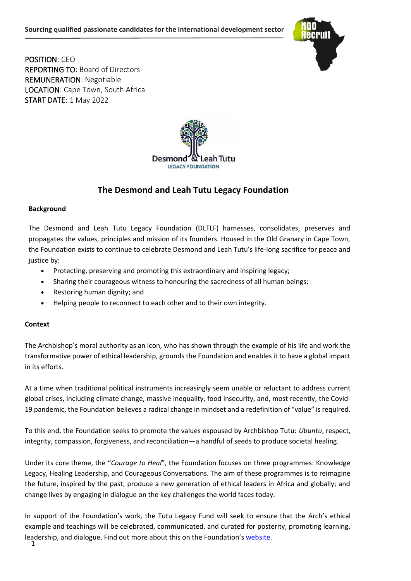

POSITION: CEO REPORTING TO: Board of Directors REMUNERATION: Negotiable LOCATION: Cape Town, South Africa START DATE: 1 May 2022



# **The Desmond and Leah Tutu Legacy Foundation**

## **Background**

The Desmond and Leah Tutu Legacy Foundation (DLTLF) harnesses, consolidates, preserves and propagates the values, principles and mission of its founders. Housed in the Old Granary in Cape Town, the Foundation exists to continue to celebrate Desmond and Leah Tutu's life-long sacrifice for peace and justice by:

- Protecting, preserving and promoting this extraordinary and inspiring legacy;
- Sharing their courageous witness to honouring the sacredness of all human beings;
- Restoring human dignity; and
- Helping people to reconnect to each other and to their own integrity.

# **Context**

The Archbishop's moral authority as an icon, who has shown through the example of his life and work the transformative power of ethical leadership, grounds the Foundation and enables it to have a global impact in its efforts.

At a time when traditional political instruments increasingly seem unable or reluctant to address current global crises, including climate change, massive inequality, food insecurity, and, most recently, the Covid-19 pandemic, the Foundation believes a radical change in mindset and a redefinition of "value" is required.

To this end, the Foundation seeks to promote the values espoused by Archbishop Tutu: *Ubuntu*, respect, integrity, compassion, forgiveness, and reconciliation—a handful of seeds to produce societal healing.

Under its core theme, the "*Courage to Heal*", the Foundation focuses on three programmes: Knowledge Legacy, Healing Leadership, and Courageous Conversations. The aim of these programmes is to reimagine the future, inspired by the past; produce a new generation of ethical leaders in Africa and globally; and change lives by engaging in dialogue on the key challenges the world faces today.

In support of the Foundation's work, the Tutu Legacy Fund will seek to ensure that the Arch's ethical example and teachings will be celebrated, communicated, and curated for posterity, promoting learning, leadership, and dialogue. Find out more about this on the Foundation's [website.](https://www.tutu.org.za/)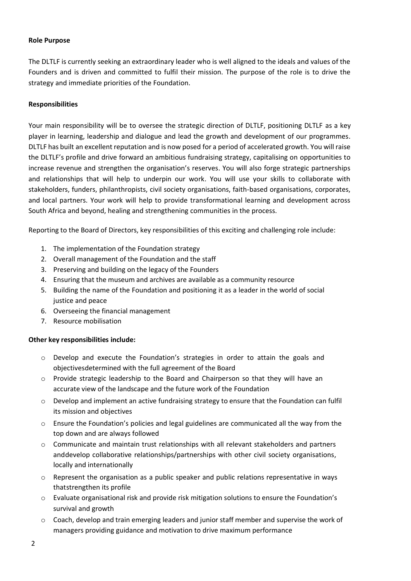## **Role Purpose**

The DLTLF is currently seeking an extraordinary leader who is well aligned to the ideals and values of the Founders and is driven and committed to fulfil their mission. The purpose of the role is to drive the strategy and immediate priorities of the Foundation.

## **Responsibilities**

Your main responsibility will be to oversee the strategic direction of DLTLF, positioning DLTLF as a key player in learning, leadership and dialogue and lead the growth and development of our programmes. DLTLF has built an excellent reputation and is now posed for a period of accelerated growth. You will raise the DLTLF's profile and drive forward an ambitious fundraising strategy, capitalising on opportunities to increase revenue and strengthen the organisation's reserves. You will also forge strategic partnerships and relationships that will help to underpin our work. You will use your skills to collaborate with stakeholders, funders, philanthropists, civil society organisations, faith-based organisations, corporates, and local partners. Your work will help to provide transformational learning and development across South Africa and beyond, healing and strengthening communities in the process.

Reporting to the Board of Directors, key responsibilities of this exciting and challenging role include:

- 1. The implementation of the Foundation strategy
- 2. Overall management of the Foundation and the staff
- 3. Preserving and building on the legacy of the Founders
- 4. Ensuring that the museum and archives are available as a community resource
- 5. Building the name of the Foundation and positioning it as a leader in the world of social justice and peace
- 6. Overseeing the financial management
- 7. Resource mobilisation

# **Other key responsibilities include:**

- o Develop and execute the Foundation's strategies in order to attain the goals and objectivesdetermined with the full agreement of the Board
- o Provide strategic leadership to the Board and Chairperson so that they will have an accurate view of the landscape and the future work of the Foundation
- $\circ$  Develop and implement an active fundraising strategy to ensure that the Foundation can fulfil its mission and objectives
- $\circ$  Ensure the Foundation's policies and legal guidelines are communicated all the way from the top down and are always followed
- o Communicate and maintain trust relationships with all relevant stakeholders and partners anddevelop collaborative relationships/partnerships with other civil society organisations, locally and internationally
- $\circ$  Represent the organisation as a public speaker and public relations representative in ways thatstrengthen its profile
- o Evaluate organisational risk and provide risk mitigation solutions to ensure the Foundation's survival and growth
- $\circ$  Coach, develop and train emerging leaders and junior staff member and supervise the work of managers providing guidance and motivation to drive maximum performance